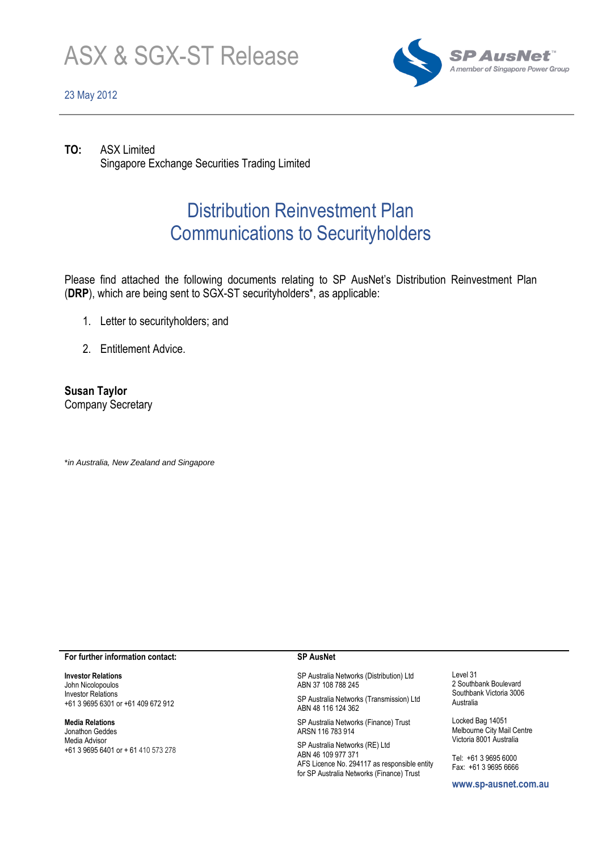

# 23 May 2012



**TO:** ASX Limited Singapore Exchange Securities Trading Limited

# Distribution Reinvestment Plan Communications to Securityholders

Please find attached the following documents relating to SP AusNet's Distribution Reinvestment Plan (**DRP**), which are being sent to SGX-ST securityholders\*, as applicable:

- 1. Letter to securityholders; and
- 2. Entitlement Advice.

**Susan Taylor** Company Secretary

\**in Australia, New Zealand and Singapore*

## **For further information contact:**

**Investor Relations** John Nicolopoulos Investor Relations +61 3 9695 6301 or +61 409 672 912

### **Media Relations**

Jonathon Geddes Media Advisor +61 3 9695 6401 or + 61 410 573 278

## **SP AusNet**

SP Australia Networks (Distribution) Ltd ABN 37 108 788 245

SP Australia Networks (Transmission) Ltd ABN 48 116 124 362

SP Australia Networks (Finance) Trust ARSN 116 783 914

SP Australia Networks (RE) Ltd ABN 46 109 977 371 AFS Licence No. 294117 as responsible entity for SP Australia Networks (Finance) Trust

Level 31 2 Southbank Boulevard Southbank Victoria 3006 Australia

Locked Bag 14051 Melbourne City Mail Centre Victoria 8001 Australia

Tel: +61 3 9695 6000 Fax: +61 3 9695 6666

**www.sp-ausnet.com.au**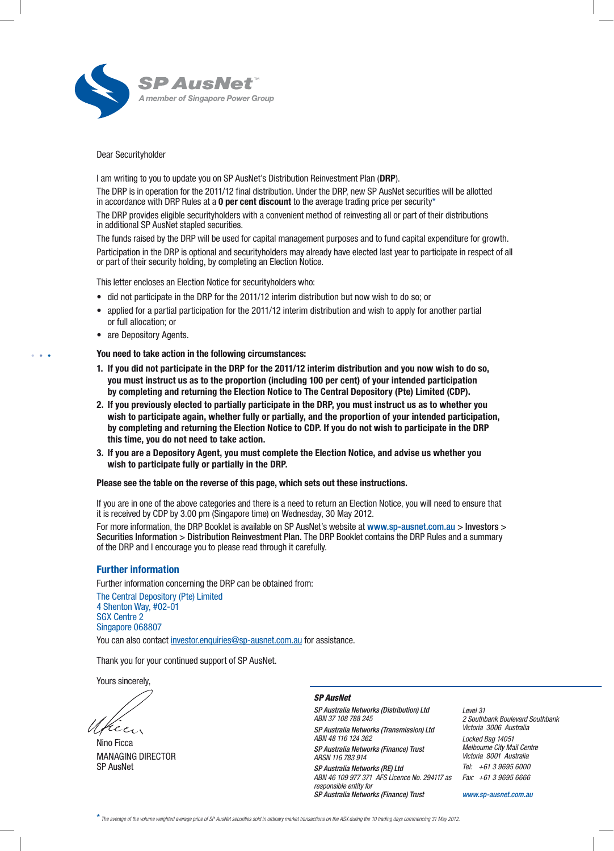

## Dear Securityholder

I am writing to you to update you on SP AusNet's Distribution Reinvestment Plan (DRP).

The DRP is in operation for the 2011/12 final distribution. Under the DRP, new SP AusNet securities will be allotted in accordance with DRP Rules at a **0 per cent discount** to the average trading price per security\*

The DRP provides eligible securityholders with a convenient method of reinvesting all or part of their distributions in additional SP AusNet stapled securities.

The funds raised by the DRP will be used for capital management purposes and to fund capital expenditure for growth. Participation in the DRP is optional and securityholders may already have elected last year to participate in respect of all or part of their security holding, by completing an Election Notice.

This letter encloses an Election Notice for securityholders who:

- did not participate in the DRP for the 2011/12 interim distribution but now wish to do so; or
- • applied for a partial participation for the 2011/12 interim distribution and wish to apply for another partial or full allocation; or
- are Depository Agents.

• • •

You need to take action in the following circumstances:

- 1. If you did not participate in the DRP for the 2011/12 interim distribution and you now wish to do so, you must instruct us as to the proportion (including 100 per cent) of your intended participation by completing and returning the Election Notice to The Central Depository (Pte) Limited (CDP).
- 2. If you previously elected to partially participate in the DRP, you must instruct us as to whether you wish to participate again, whether fully or partially, and the proportion of your intended participation, by completing and returning the Election Notice to CDP. If you do not wish to participate in the DRP this time, you do not need to take action.
- 3. If you are a Depository Agent, you must complete the Election Notice, and advise us whether you wish to participate fully or partially in the DRP.

Please see the table on the reverse of this page, which sets out these instructions.

If you are in one of the above categories and there is a need to return an Election Notice, you will need to ensure that it is received by CDP by 3.00 pm (Singapore time) on Wednesday, 30 May 2012.

For more information, the DRP Booklet is available on SP AusNet's website at www.sp-ausnet.com.au > Investors > Securities Information > Distribution Reinvestment Plan. The DRP Booklet contains the DRP Rules and a summary of the DRP and I encourage you to please read through it carefully.

## Further information

Further information concerning the DRP can be obtained from: The Central Depository (Pte) Limited 4 Shenton Way, #02-01 SGX Centre 2 Singapore 068807

You can also contact investor.enquiries@sp-ausnet.com.au for assistance.

Thank you for your continued support of SP AusNet.

Yours sincerely,

cen

Nino Ficca MANAGING DIRECTOR SP AusNet

#### *SP AusNet*

*SP Australia Networks (Distribution) Ltd ABN 37 108 788 245 SP Australia Networks (Transmission) Ltd ABN 48 116 124 362 SP Australia Networks (Finance) Trust ARSN 116 783 914 SP Australia Networks (RE) Ltd ABN 46 109 977 371 AFS Licence No. 294117 as responsible entity for SP Australia Networks (Finance) Trust* 

*Level 31 2 Southbank Boulevard Southbank Victoria 3006 Australia Locked Bag 14051 Melbourne City Mail Centre Victoria 8001 Australia Tel: +61 3 9695 6000 Fax: +61 3 9695 6666*

*www.sp-ausnet.com.au*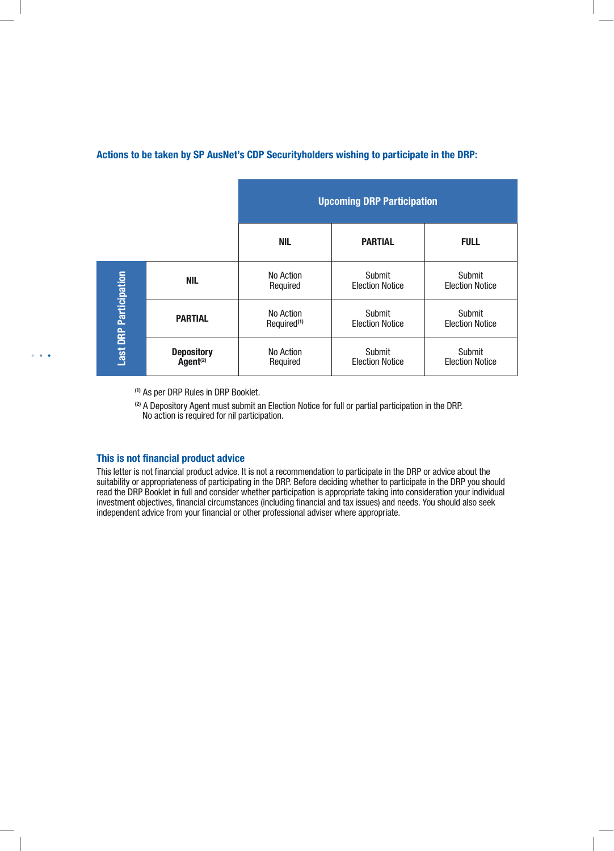# Actions to be taken by SP AusNet's CDP Securityholders wishing to participate in the DRP:

|                               |                                           | <b>Upcoming DRP Participation</b>    |                                  |                                  |
|-------------------------------|-------------------------------------------|--------------------------------------|----------------------------------|----------------------------------|
|                               |                                           | NIL                                  | <b>PARTIAL</b>                   | <b>FULL</b>                      |
| <b>Last DRP Participation</b> | <b>NIL</b>                                | No Action<br>Required                | Submit<br><b>Election Notice</b> | Submit<br><b>Election Notice</b> |
|                               | <b>PARTIAL</b>                            | No Action<br>Required <sup>(1)</sup> | Submit<br><b>Election Notice</b> | Submit<br><b>Election Notice</b> |
|                               | <b>Depository</b><br>Agent <sup>(2)</sup> | No Action<br>Required                | Submit<br><b>Election Notice</b> | Submit<br><b>Election Notice</b> |

(1) As per DRP Rules in DRP Booklet.

(2) A Depository Agent must submit an Election Notice for full or partial participation in the DRP. No action is required for nil participation.

# This is not financial product advice

• • •

This letter is not financial product advice. It is not a recommendation to participate in the DRP or advice about the suitability or appropriateness of participating in the DRP. Before deciding whether to participate in the DRP you should read the DRP Booklet in full and consider whether participation is appropriate taking into consideration your individual investment objectives, financial circumstances (including financial and tax issues) and needs. You should also seek independent advice from your financial or other professional adviser where appropriate.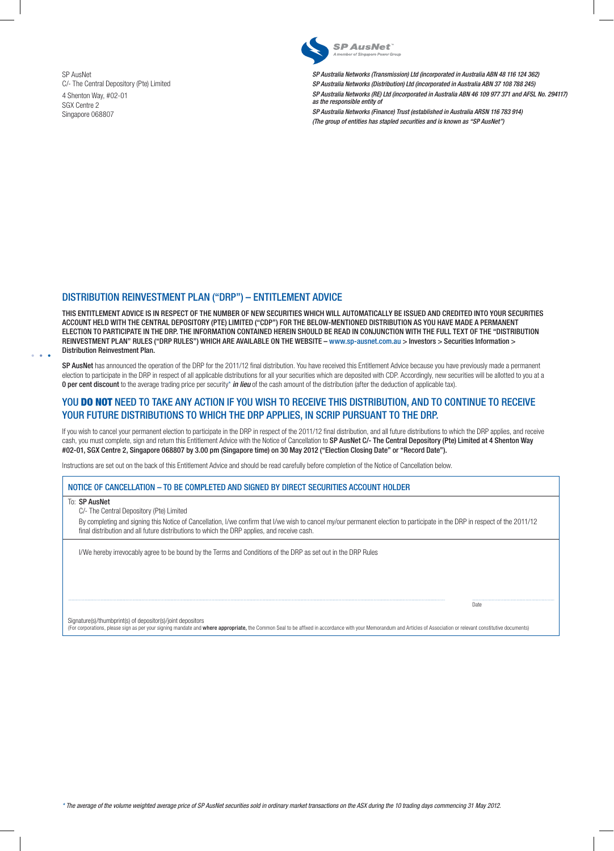SP AusNet C/- The Central Depository (Pte) Limited 4 Shenton Way, #02-01 SGX Centre 2 Singapore 068807



*SP Australia Networks (Transmission) Ltd (incorporated in Australia ABN 48 116 124 362) SP Australia Networks (Distribution) Ltd (incorporated in Australia ABN 37 108 788 245) SP Australia Networks (RE) Ltd (incorporated in Australia ABN 46 109 977 371 and AFSL No. 294117) as the responsible entity of*

*SP Australia Networks (Finance) Trust (established in Australia ARSN 116 783 914) (The group of entities has stapled securities and is known as "SP AusNet")* 

# DISTRIBUTION REINVESTMENT PLAN ("DRP") – ENTITLEMENT ADVICE

THIS ENTITLEMENT ADVICE IS IN RESPECT OF THE NUMBER OF NEW SECURITIES WHICH WILL AUTOMATICALLY BE ISSUED AND CREDITED INTO YOUR SECURITIES ACCOUNT HELD WITH THE CENTRAL DEPOSITORY (PTE) LIMITED ("CDP") FOR THE BELOW-MENTIONED DISTRIBUTION AS YOU HAVE MADE A PERMANENT ELECTION TO PARTICIPATE IN THE DRP. THE INFORMATION CONTAINED HEREIN SHOULD BE READ IN CONJUNCTION WITH THE FULL TEXT OF THE "DISTRIBUTION REINVESTMENT PLAN" RULES ("DRP RULES") WHICH ARE AVAILABLE ON THE WEBSITE – www.sp-ausnet.com.au > Investors > Securities Information > Distribution Reinvestment Plan.

SP AusNet has announced the operation of the DRP for the 2011/12 final distribution. You have received this Entitlement Advice because you have previously made a permanent election to participate in the DRP in respect of all applicable distributions for all your securities which are deposited with CDP. Accordingly, new securities will be allotted to you at a 0 per cent discount to the average trading price per security\* *in lieu* of the cash amount of the distribution (after the deduction of applicable tax).

## YOU DO NOT NEED TO TAKE ANY ACTION IF YOU WISH TO RECEIVE THIS DISTRIBUTION, AND TO CONTINUE TO RECEIVE YOUR FUTURE DISTRIBUTIONS TO WHICH THE DRP APPLIES, IN SCRIP PURSUANT TO THE DRP.

If you wish to cancel your permanent election to participate in the DRP in respect of the 2011/12 final distribution, and all future distributions to which the DRP applies, and receive cash, you must complete, sign and return this Entitlement Advice with the Notice of Cancellation to SP AusNet C/- The Central Depository (Pte) Limited at 4 Shenton Way #02-01, SGX Centre 2, Singapore 068807 by 3.00 pm (Singapore time) on 30 May 2012 ("Election Closing Date" or "Record Date").

Instructions are set out on the back of this Entitlement Advice and should be read carefully before completion of the Notice of Cancellation below.

#### NOTICE OF CANCELLATION – TO BE COMPLETED AND SIGNED BY DIRECT SECURITIES ACCOUNT HOLDER

To: SP AusNet

• • •

C/- The Central Depository (Pte) Limited

By completing and signing this Notice of Cancellation, I/we confirm that I/we wish to cancel my/our permanent election to participate in the DRP in respect of the 2011/12 final distribution and all future distributions to which the DRP applies, and receive cash.

I/We hereby irrevocably agree to be bound by the Terms and Conditions of the DRP as set out in the DRP Rules

Signature(s)/thumbprint(s) of depositor(s)/joint depositors

(For corporations, please sign as per your signing mandate and where appropriate, the Common Seal to be affixed in accordance with your Memorandum and Articles of Association or relevant constitutive documents)

Date